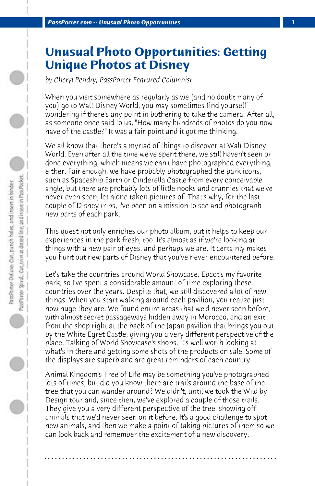## **Unusual Photo Opportunities: Getting Unique Photos at Disney**

*by Cheryl Pendry, PassPorter Featured Columnist*

When you visit somewhere as regularly as we (and no doubt many of you) go to Walt Disney World, you may sometimes find yourself wondering if there's any point in bothering to take the camera. After all, as someone once said to us, "How many hundreds of photos do you now have of the castle?" It was a fair point and it got me thinking.

We all know that there's a myriad of things to discover at Walt Disney World. Even after all the time we've spent there, we still haven't seen or done everything, which means we can't have photographed everything, either. Fair enough, we have probably photographed the park icons, such as Spaceship Earth or Cinderella Castle from every conceivable angle, but there are probably lots of little nooks and crannies that we've never even seen, let alone taken pictures of. That's why, for the last couple of Disney trips, I've been on a mission to see and photograph new parts of each park.

This quest not only enriches our photo album, but it helps to keep our experiences in the park fresh, too. It's almost as if we're looking at things with a new pair of eyes, and perhaps we are. It certainly makes you hunt out new parts of Disney that you've never encountered before.

Let's take the countries around World Showcase. Epcot's my favorite park, so I've spent a considerable amount of time exploring these countries over the years. Despite that, we still discovered a lot of new things. When you start walking around each pavilion, you realize just how huge they are. We found entire areas that we'd never seen before, with almost secret passageways hidden away in Morocco, and an exit from the shop right at the back of the Japan pavilion that brings you out by the White Egret Castle, giving you a very different perspective of the place. Talking of World Showcase's shops, it's well worth looking at what's in there and getting some shots of the products on sale. Some of the displays are superb and are great reminders of each country.

Animal Kingdom's Tree of Life may be something you've photographed lots of times, but did you know there are trails around the base of the tree that you can wander around? We didn't, until we took the Wild by Design tour and, since then, we've explored a couple of those trails. They give you a very different perspective of the tree, showing off animals that we'd never seen on it before. It's a good challenge to spot new animals, and then we make a point of taking pictures of them so we can look back and remember the excitement of a new discovery.

**. . . . . . . . . . . . . . . . . . . . . . . . . . . . . . . . . . . . . . . . . . . . . . . . . . . . . . . . . . . . . . . . . .**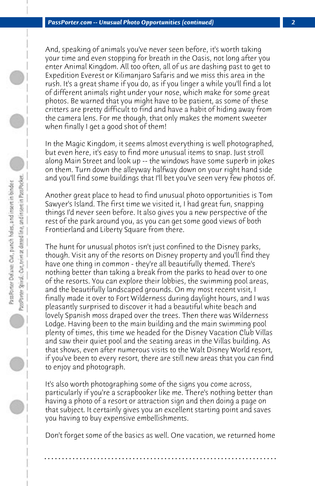And, speaking of animals you've never seen before, it's worth taking your time and even stopping for breath in the Oasis, not long after you enter Animal Kingdom. All too often, all of us are dashing past to get to Expedition Everest or Kilimanjaro Safaris and we miss this area in the rush. It's a great shame if you do, as if you linger a while you'll find a lot of different animals right under your nose, which make for some great photos. Be warned that you might have to be patient, as some of these critters are pretty difficult to find and have a habit of hiding away from the camera lens. For me though, that only makes the moment sweeter when finally I get a good shot of them!

In the Magic Kingdom, it seems almost everything is well photographed, but even here, it's easy to find more unusual items to snap. Just stroll along Main Street and look up -- the windows have some superb in jokes on them. Turn down the alleyway halfway down on your right hand side and you'll find some buildings that I'll bet you've seen very few photos of.

Another great place to head to find unusual photo opportunities is Tom Sawyer's Island. The first time we visited it, I had great fun, snapping things I'd never seen before. It also gives you a new perspective of the rest of the park around you, as you can get some good views of both Frontierland and Liberty Square from there.

The hunt for unusual photos isn't just confined to the Disney parks, though. Visit any of the resorts on Disney property and you'll find they have one thing in common - they're all beautifully themed. There's nothing better than taking a break from the parks to head over to one of the resorts. You can explore their lobbies, the swimming pool areas, and the beautifully landscaped grounds. On my most recent visit, I finally made it over to Fort Wilderness during daylight hours, and I was pleasantly surprised to discover it had a beautiful white beach and lovely Spanish moss draped over the trees. Then there was Wilderness Lodge. Having been to the main building and the main swimming pool plenty of times, this time we headed for the Disney Vacation Club Villas and saw their quiet pool and the seating areas in the Villas building. As that shows, even after numerous visits to the Walt Disney World resort, if you've been to every resort, there are still new areas that you can find to enjoy and photograph.

It's also worth photographing some of the signs you come across, particularly if you're a scrapbooker like me. There's nothing better than having a photo of a resort or attraction sign and then doing a page on that subject. It certainly gives you an excellent starting point and saves you having to buy expensive embellishments.

Don't forget some of the basics as well. One vacation, we returned home

**. . . . . . . . . . . . . . . . . . . . . . . . . . . . . . . . . . . . . . . . . . . . . . . . . . . . . . . . . . . . . . . . . .**